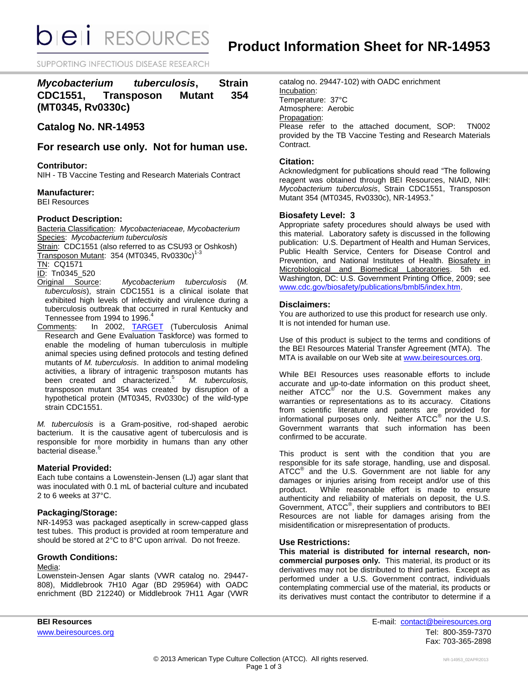*DIEI RESOURCES* 

SUPPORTING INFECTIOUS DISEASE RESEARD

# *Mycobacterium tuberculosis***, Strain CDC1551, Transposon Mutant 354 (MT0345, Rv0330c)**

# **Catalog No. NR-14953**

# **For research use only. Not for human use.**

# **Contributor:**

NIH - TB Vaccine Testing and Research Materials Contract

## **Manufacturer:**

BEI Resources

# **Product Description:**

Bacteria Classification: *Mycobacteriaceae, Mycobacterium* Species: *Mycobacterium tuberculosis*

Strain: CDC1551 (also referred to as CSU93 or Oshkosh) Transposon Mutant: 354 (MT0345, Rv0330c) 1-3

TN: CQ1571

ID: Tn0345\_520<br>Original Source:

- $Mycobacterium tuberculosis (M.$ *tuberculosis*), strain CDC1551 is a clinical isolate that exhibited high levels of infectivity and virulence during a tuberculosis outbreak that occurred in rural Kentucky and Tennessee from 1994 to 1996.<sup>4</sup>
- Comments: In 2002, [TARGET](http://www.hopkinsmedicine.org/TARGET/) (Tuberculosis Animal Research and Gene Evaluation Taskforce) was formed to enable the modeling of human tuberculosis in multiple animal species using defined protocols and testing defined mutants of *M. tuberculosis*. In addition to animal modeling activities, a library of intragenic transposon mutants has been created and characterized.<sup>5</sup> *M. tuberculosis,* transposon mutant 354 was created by disruption of a hypothetical protein (MT0345, Rv0330c) of the wild-type strain CDC1551.

*M. tuberculosis* is a Gram-positive, rod-shaped aerobic bacterium. It is the causative agent of tuberculosis and is responsible for more morbidity in humans than any other bacterial disease.<sup>6</sup>

## **Material Provided:**

Each tube contains a Lowenstein-Jensen (LJ) agar slant that was inoculated with 0.1 mL of bacterial culture and incubated 2 to 6 weeks at 37°C.

## **Packaging/Storage:**

NR-14953 was packaged aseptically in screw-capped glass test tubes. This product is provided at room temperature and should be stored at 2°C to 8°C upon arrival. Do not freeze.

## **Growth Conditions:**

# Media:

Lowenstein-Jensen Agar slants (VWR catalog no. 29447- 808), Middlebrook 7H10 Agar (BD 295964) with OADC enrichment (BD 212240) or Middlebrook 7H11 Agar (VWR catalog no. 29447-102) with OADC enrichment Incubation: Temperature: 37°C Atmosphere: Aerobic Propagation: Please refer to the attached document, SOP: TN002 provided by the TB Vaccine Testing and Research Materials

# Contract. **Citation:**

Acknowledgment for publications should read "The following reagent was obtained through BEI Resources, NIAID, NIH: *Mycobacterium tuberculosis*, Strain CDC1551, Transposon Mutant 354 (MT0345, Rv0330c), NR-14953."

## **Biosafety Level: 3**

Appropriate safety procedures should always be used with this material. Laboratory safety is discussed in the following publication: U.S. Department of Health and Human Services, Public Health Service, Centers for Disease Control and Prevention, and National Institutes of Health. Biosafety in Microbiological and Biomedical Laboratories. 5th ed. Washington, DC: U.S. Government Printing Office, 2009; see [www.cdc.gov/biosafety/publications/bmbl5/index.htm.](http://www.cdc.gov/biosafety/publications/bmbl5/index.htm)

# **Disclaimers:**

You are authorized to use this product for research use only. It is not intended for human use.

Use of this product is subject to the terms and conditions of the BEI Resources Material Transfer Agreement (MTA). The MTA is available on our Web site at [www.beiresources.org.](http://www.beiresources.org/)

While BEI Resources uses reasonable efforts to include accurate and up-to-date information on this product sheet, neither ATCC<sup>®</sup> nor the U.S. Government makes any warranties or representations as to its accuracy. Citations from scientific literature and patents are provided for informational purposes only. Neither  $\tt{ATCC}^{\circledR}$  nor the U.S. Government warrants that such information has been confirmed to be accurate.

This product is sent with the condition that you are responsible for its safe storage, handling, use and disposal.  $\tt ATCC<sup>®</sup>$  and the U.S. Government are not liable for any damages or injuries arising from receipt and/or use of this product. While reasonable effort is made to ensure authenticity and reliability of materials on deposit, the U.S. Government, ATCC® , their suppliers and contributors to BEI Resources are not liable for damages arising from the misidentification or misrepresentation of products.

## **Use Restrictions:**

**This material is distributed for internal research, noncommercial purposes only.** This material, its product or its derivatives may not be distributed to third parties. Except as performed under a U.S. Government contract, individuals contemplating commercial use of the material, its products or its derivatives must contact the contributor to determine if a

**BEI Resources** E-mail: contact@beiresources.org www.beiresources.orgTel: 800-359-7370 Fax: 703-365-2898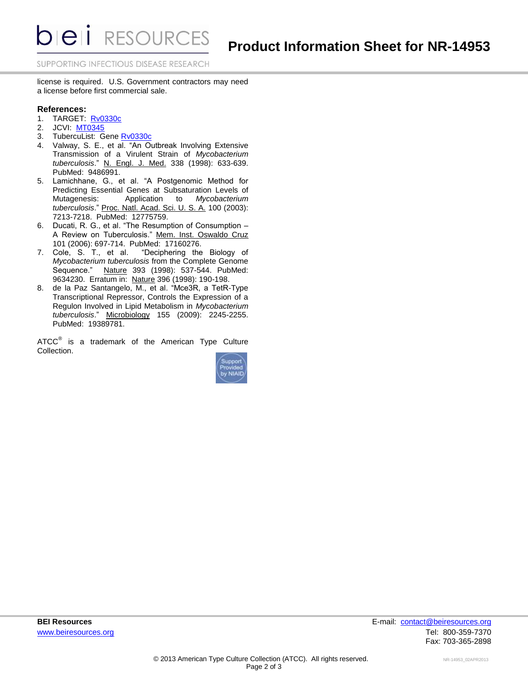**DIEII** RESOURCES

SUPPORTING INFECTIOUS DISEASE RESEARCH

license is required. U.S. Government contractors may need a license before first commercial sale.

# **References:**

- 1. TARGET: **[Rv0330c](http://webhost.nts.jhu.edu/target/search.aspx?query=MT0345)**
- 2. JCVI: [MT0345](http://cmr.jcvi.org/tigr-scripts/CMR/shared/GenePage.cgi?locus=MT0345)<br>3. TubercuList: G
- TubercuList: Gene [Rv0330c](http://tuberculist.epfl.ch/quicksearch.php?gene+name=rv0330c)
- 4. Valway, S. E., et al. "An Outbreak Involving Extensive Transmission of a Virulent Strain of *Mycobacterium tuberculosis*." N. Engl. J. Med. 338 (1998): 633-639. PubMed: 9486991.
- 5. Lamichhane, G., et al. "A Postgenomic Method for Predicting Essential Genes at Subsaturation Levels of Mutagenesis: Application to *Mycobacterium tuberculosis*." Proc. Natl. Acad. Sci. U. S. A. 100 (2003): 7213-7218. PubMed: 12775759.
- 6. Ducati, R. G., et al. "The Resumption of Consumption A Review on Tuberculosis." Mem. Inst. Oswaldo Cruz 101 (2006): 697-714. PubMed: 17160276.
- 7. Cole, S. T., et al. "Deciphering the Biology of *Mycobacterium tuberculosis* from the Complete Genome Sequence." Nature 393 (1998): 537-544. PubMed: 9634230. Erratum in: Nature 396 (1998): 190-198.
- 8. de la Paz Santangelo, M., et al. "Mce3R, a TetR-Type Transcriptional Repressor, Controls the Expression of a Regulon Involved in Lipid Metabolism in *Mycobacterium tuberculosis*." Microbiology 155 (2009): 2245-2255. PubMed: 19389781.

ATCC $^{\circ}$  is a trademark of the American Type Culture Collection.